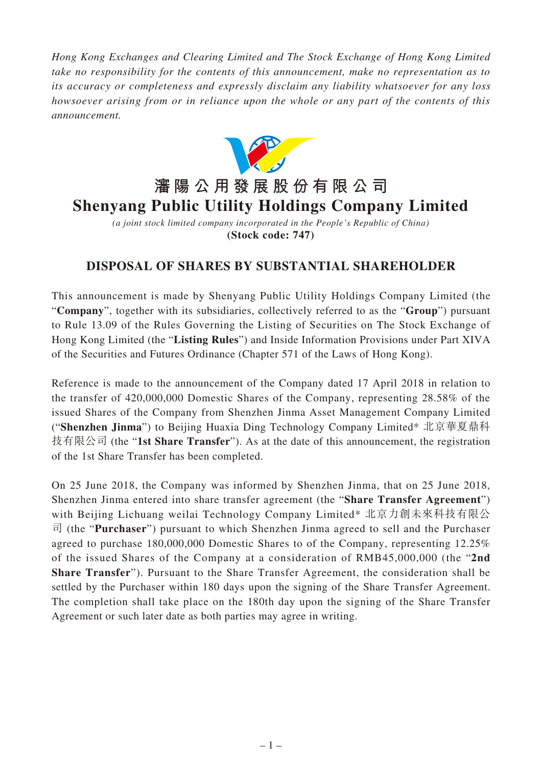*Hong Kong Exchanges and Clearing Limited and The Stock Exchange of Hong Kong Limited take no responsibility for the contents of this announcement, make no representation as to its accuracy or completeness and expressly disclaim any liability whatsoever for any loss howsoever arising from or in reliance upon the whole or any part of the contents of this announcement.*



*(a joint stock limited company incorporated in the People's Republic of China)* **(Stock code: 747)**

## **DISPOSAL OF SHARES BY SUBSTANTIAL SHAREHOLDER**

This announcement is made by Shenyang Public Utility Holdings Company Limited (the "**Company**", together with its subsidiaries, collectively referred to as the "**Group**") pursuant to Rule 13.09 of the Rules Governing the Listing of Securities on The Stock Exchange of Hong Kong Limited (the "**Listing Rules**") and Inside Information Provisions under Part XIVA of the Securities and Futures Ordinance (Chapter 571 of the Laws of Hong Kong).

Reference is made to the announcement of the Company dated 17 April 2018 in relation to the transfer of 420,000,000 Domestic Shares of the Company, representing 28.58% of the issued Shares of the Company from Shenzhen Jinma Asset Management Company Limited ("**Shenzhen Jinma**") to Beijing Huaxia Ding Technology Company Limited\* 北京華夏鼎科 技有限公司 (the "**1st Share Transfer**"). As at the date of this announcement, the registration of the 1st Share Transfer has been completed.

On 25 June 2018, the Company was informed by Shenzhen Jinma, that on 25 June 2018, Shenzhen Jinma entered into share transfer agreement (the "**Share Transfer Agreement**") with Beijing Lichuang weilai Technology Company Limited\* 北京力創未來科技有限公 司 (the "**Purchaser**") pursuant to which Shenzhen Jinma agreed to sell and the Purchaser agreed to purchase 180,000,000 Domestic Shares to of the Company, representing 12.25% of the issued Shares of the Company at a consideration of RMB45,000,000 (the "**2nd Share Transfer**"). Pursuant to the Share Transfer Agreement, the consideration shall be settled by the Purchaser within 180 days upon the signing of the Share Transfer Agreement. The completion shall take place on the 180th day upon the signing of the Share Transfer Agreement or such later date as both parties may agree in writing.